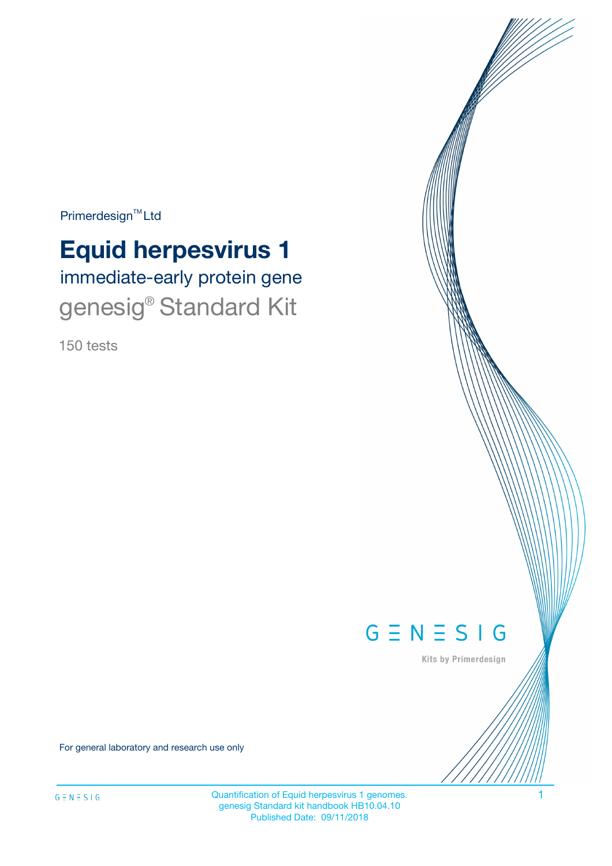Primerdesign<sup>™</sup>Ltd

# **Equid herpesvirus 1**

immediate-early protein gene genesig<sup>®</sup> Standard Kit

150 tests



Kits by Primerdesign

For general laboratory and research use only

Quantification of Equid herpesvirus 1 genomes. 1 genesig Standard kit handbook HB10.04.10 Published Date: 09/11/2018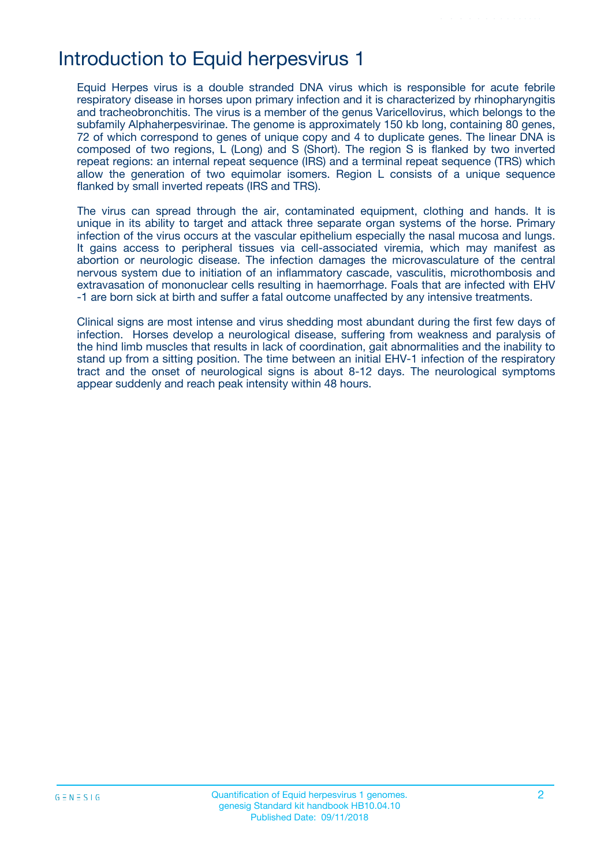# Introduction to Equid herpesvirus 1

Equid Herpes virus is a double stranded DNA virus which is responsible for acute febrile respiratory disease in horses upon primary infection and it is characterized by rhinopharyngitis and tracheobronchitis. The virus is a member of the genus Varicellovirus, which belongs to the subfamily Alphaherpesvirinae. The genome is approximately 150 kb long, containing 80 genes, 72 of which correspond to genes of unique copy and 4 to duplicate genes. The linear DNA is composed of two regions, L (Long) and S (Short). The region S is flanked by two inverted repeat regions: an internal repeat sequence (IRS) and a terminal repeat sequence (TRS) which allow the generation of two equimolar isomers. Region L consists of a unique sequence flanked by small inverted repeats (IRS and TRS).

The virus can spread through the air, contaminated equipment, clothing and hands. It is unique in its ability to target and attack three separate organ systems of the horse. Primary infection of the virus occurs at the vascular epithelium especially the nasal mucosa and lungs. It gains access to peripheral tissues via cell-associated viremia, which may manifest as abortion or neurologic disease. The infection damages the microvasculature of the central nervous system due to initiation of an inflammatory cascade, vasculitis, microthombosis and extravasation of mononuclear cells resulting in haemorrhage. Foals that are infected with EHV -1 are born sick at birth and suffer a fatal outcome unaffected by any intensive treatments.

Clinical signs are most intense and virus shedding most abundant during the first few days of infection. Horses develop a neurological disease, suffering from weakness and paralysis of the hind limb muscles that results in lack of coordination, gait abnormalities and the inability to stand up from a sitting position. The time between an initial EHV-1 infection of the respiratory tract and the onset of neurological signs is about 8-12 days. The neurological symptoms appear suddenly and reach peak intensity within 48 hours.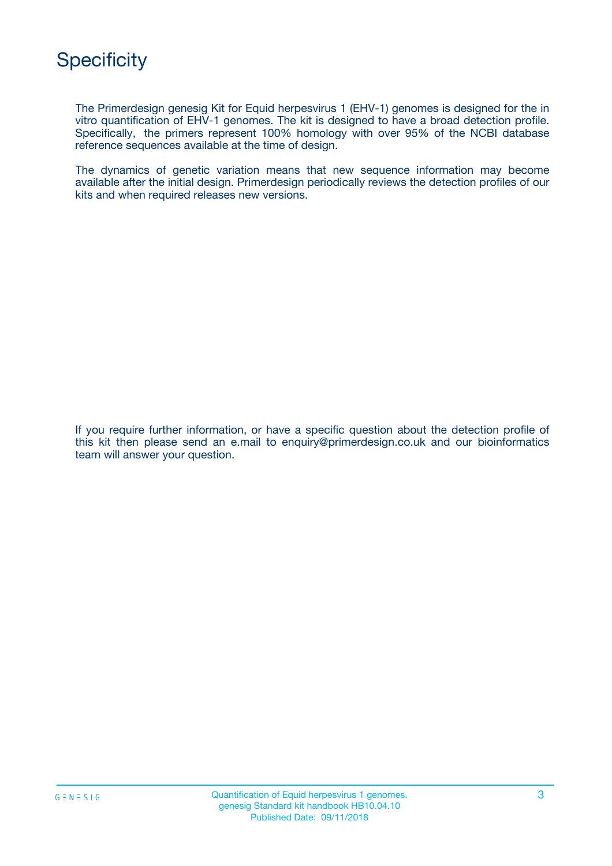

The Primerdesign genesig Kit for Equid herpesvirus 1 (EHV-1) genomes is designed for the in vitro quantification of EHV-1 genomes. The kit is designed to have a broad detection profile. Specifically, the primers represent 100% homology with over 95% of the NCBI database reference sequences available at the time of design.

The dynamics of genetic variation means that new sequence information may become available after the initial design. Primerdesign periodically reviews the detection profiles of our kits and when required releases new versions.

If you require further information, or have a specific question about the detection profile of this kit then please send an e.mail to enquiry@primerdesign.co.uk and our bioinformatics team will answer your question.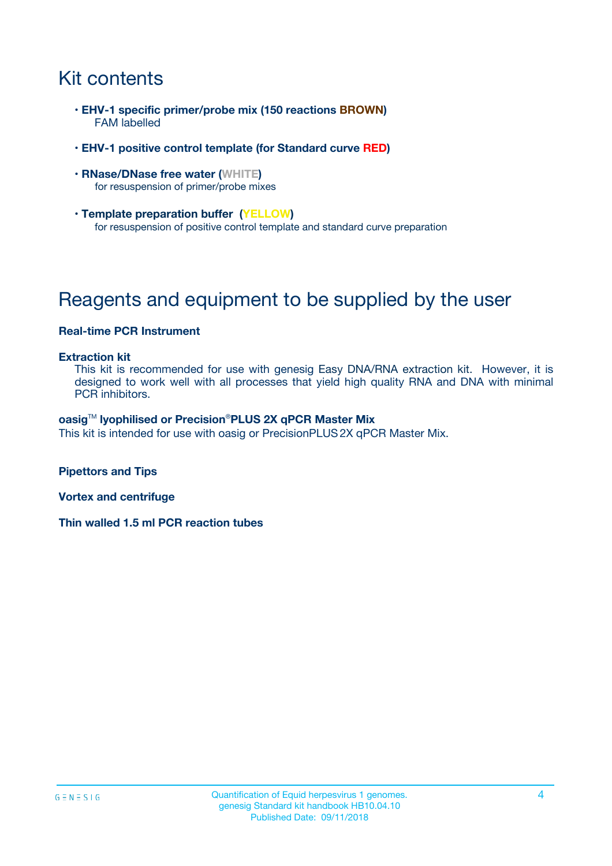# Kit contents

- **EHV-1 specific primer/probe mix (150 reactions BROWN)** FAM labelled
- **EHV-1 positive control template (for Standard curve RED)**
- **RNase/DNase free water (WHITE)** for resuspension of primer/probe mixes
- **Template preparation buffer (YELLOW)** for resuspension of positive control template and standard curve preparation

# Reagents and equipment to be supplied by the user

### **Real-time PCR Instrument**

#### **Extraction kit**

This kit is recommended for use with genesig Easy DNA/RNA extraction kit. However, it is designed to work well with all processes that yield high quality RNA and DNA with minimal PCR inhibitors.

#### **oasig**TM **lyophilised or Precision**®**PLUS 2X qPCR Master Mix**

This kit is intended for use with oasig or PrecisionPLUS2X qPCR Master Mix.

**Pipettors and Tips**

**Vortex and centrifuge**

**Thin walled 1.5 ml PCR reaction tubes**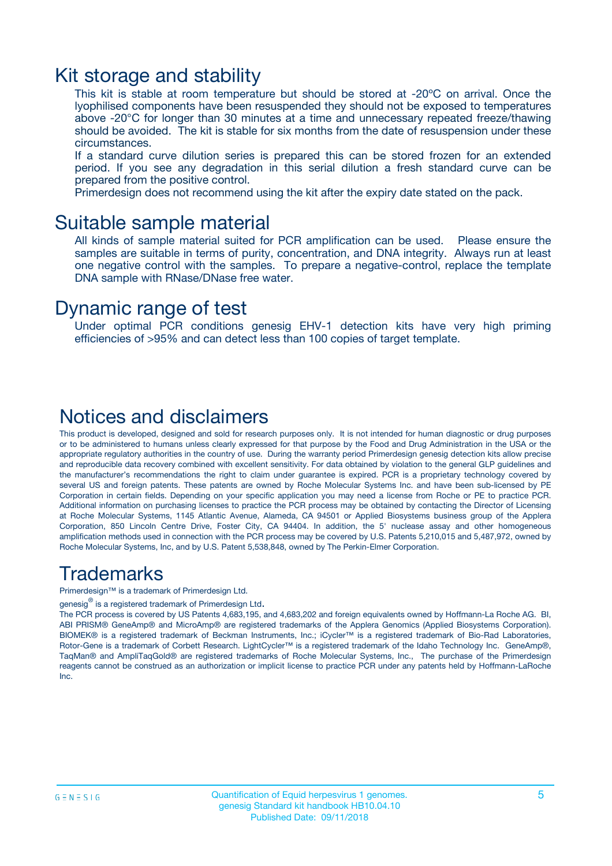### Kit storage and stability

This kit is stable at room temperature but should be stored at -20ºC on arrival. Once the lyophilised components have been resuspended they should not be exposed to temperatures above -20°C for longer than 30 minutes at a time and unnecessary repeated freeze/thawing should be avoided. The kit is stable for six months from the date of resuspension under these circumstances.

If a standard curve dilution series is prepared this can be stored frozen for an extended period. If you see any degradation in this serial dilution a fresh standard curve can be prepared from the positive control.

Primerdesign does not recommend using the kit after the expiry date stated on the pack.

### Suitable sample material

All kinds of sample material suited for PCR amplification can be used. Please ensure the samples are suitable in terms of purity, concentration, and DNA integrity. Always run at least one negative control with the samples. To prepare a negative-control, replace the template DNA sample with RNase/DNase free water.

### Dynamic range of test

Under optimal PCR conditions genesig EHV-1 detection kits have very high priming efficiencies of >95% and can detect less than 100 copies of target template.

### Notices and disclaimers

This product is developed, designed and sold for research purposes only. It is not intended for human diagnostic or drug purposes or to be administered to humans unless clearly expressed for that purpose by the Food and Drug Administration in the USA or the appropriate regulatory authorities in the country of use. During the warranty period Primerdesign genesig detection kits allow precise and reproducible data recovery combined with excellent sensitivity. For data obtained by violation to the general GLP guidelines and the manufacturer's recommendations the right to claim under guarantee is expired. PCR is a proprietary technology covered by several US and foreign patents. These patents are owned by Roche Molecular Systems Inc. and have been sub-licensed by PE Corporation in certain fields. Depending on your specific application you may need a license from Roche or PE to practice PCR. Additional information on purchasing licenses to practice the PCR process may be obtained by contacting the Director of Licensing at Roche Molecular Systems, 1145 Atlantic Avenue, Alameda, CA 94501 or Applied Biosystems business group of the Applera Corporation, 850 Lincoln Centre Drive, Foster City, CA 94404. In addition, the 5' nuclease assay and other homogeneous amplification methods used in connection with the PCR process may be covered by U.S. Patents 5,210,015 and 5,487,972, owned by Roche Molecular Systems, Inc, and by U.S. Patent 5,538,848, owned by The Perkin-Elmer Corporation.

### Trademarks

Primerdesign™ is a trademark of Primerdesign Ltd.

genesig $^\circledR$  is a registered trademark of Primerdesign Ltd.

The PCR process is covered by US Patents 4,683,195, and 4,683,202 and foreign equivalents owned by Hoffmann-La Roche AG. BI, ABI PRISM® GeneAmp® and MicroAmp® are registered trademarks of the Applera Genomics (Applied Biosystems Corporation). BIOMEK® is a registered trademark of Beckman Instruments, Inc.; iCycler™ is a registered trademark of Bio-Rad Laboratories, Rotor-Gene is a trademark of Corbett Research. LightCycler™ is a registered trademark of the Idaho Technology Inc. GeneAmp®, TaqMan® and AmpliTaqGold® are registered trademarks of Roche Molecular Systems, Inc., The purchase of the Primerdesign reagents cannot be construed as an authorization or implicit license to practice PCR under any patents held by Hoffmann-LaRoche Inc.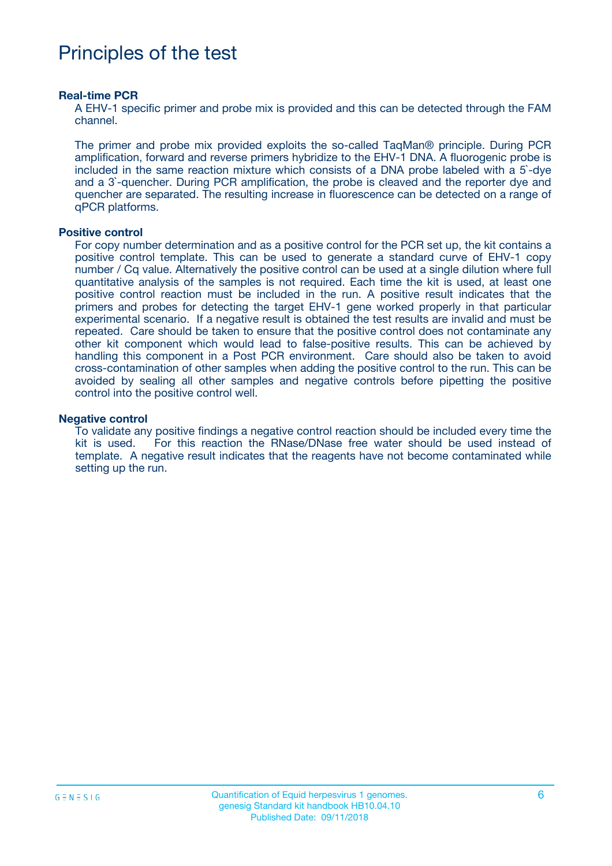# Principles of the test

#### **Real-time PCR**

A EHV-1 specific primer and probe mix is provided and this can be detected through the FAM channel.

The primer and probe mix provided exploits the so-called TaqMan® principle. During PCR amplification, forward and reverse primers hybridize to the EHV-1 DNA. A fluorogenic probe is included in the same reaction mixture which consists of a DNA probe labeled with a 5`-dye and a 3`-quencher. During PCR amplification, the probe is cleaved and the reporter dye and quencher are separated. The resulting increase in fluorescence can be detected on a range of qPCR platforms.

#### **Positive control**

For copy number determination and as a positive control for the PCR set up, the kit contains a positive control template. This can be used to generate a standard curve of EHV-1 copy number / Cq value. Alternatively the positive control can be used at a single dilution where full quantitative analysis of the samples is not required. Each time the kit is used, at least one positive control reaction must be included in the run. A positive result indicates that the primers and probes for detecting the target EHV-1 gene worked properly in that particular experimental scenario. If a negative result is obtained the test results are invalid and must be repeated. Care should be taken to ensure that the positive control does not contaminate any other kit component which would lead to false-positive results. This can be achieved by handling this component in a Post PCR environment. Care should also be taken to avoid cross-contamination of other samples when adding the positive control to the run. This can be avoided by sealing all other samples and negative controls before pipetting the positive control into the positive control well.

#### **Negative control**

To validate any positive findings a negative control reaction should be included every time the kit is used. For this reaction the RNase/DNase free water should be used instead of template. A negative result indicates that the reagents have not become contaminated while setting up the run.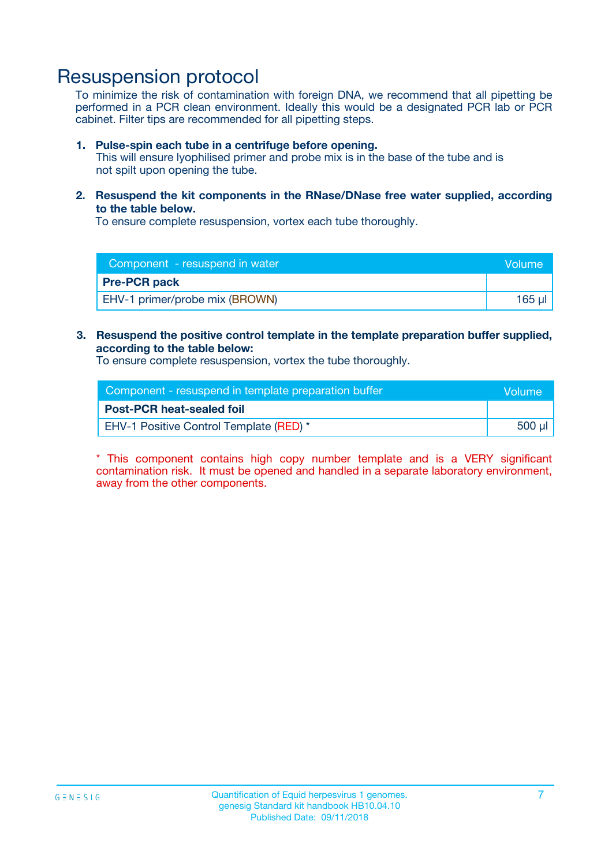### Resuspension protocol

To minimize the risk of contamination with foreign DNA, we recommend that all pipetting be performed in a PCR clean environment. Ideally this would be a designated PCR lab or PCR cabinet. Filter tips are recommended for all pipetting steps.

#### **1. Pulse-spin each tube in a centrifuge before opening.**

This will ensure lyophilised primer and probe mix is in the base of the tube and is not spilt upon opening the tube.

**2. Resuspend the kit components in the RNase/DNase free water supplied, according to the table below.**

To ensure complete resuspension, vortex each tube thoroughly.

| Component - resuspend in water<br><b>Volume</b> |        |
|-------------------------------------------------|--------|
| <b>Pre-PCR pack</b>                             |        |
| EHV-1 primer/probe mix (BROWN)                  | 165 ul |

### **3. Resuspend the positive control template in the template preparation buffer supplied, according to the table below:**

To ensure complete resuspension, vortex the tube thoroughly.

| Component - resuspend in template preparation buffer |        |  |
|------------------------------------------------------|--------|--|
| <b>Post-PCR heat-sealed foil</b>                     |        |  |
| <b>EHV-1 Positive Control Template (RED)</b> *       | 500 µl |  |

\* This component contains high copy number template and is a VERY significant contamination risk. It must be opened and handled in a separate laboratory environment, away from the other components.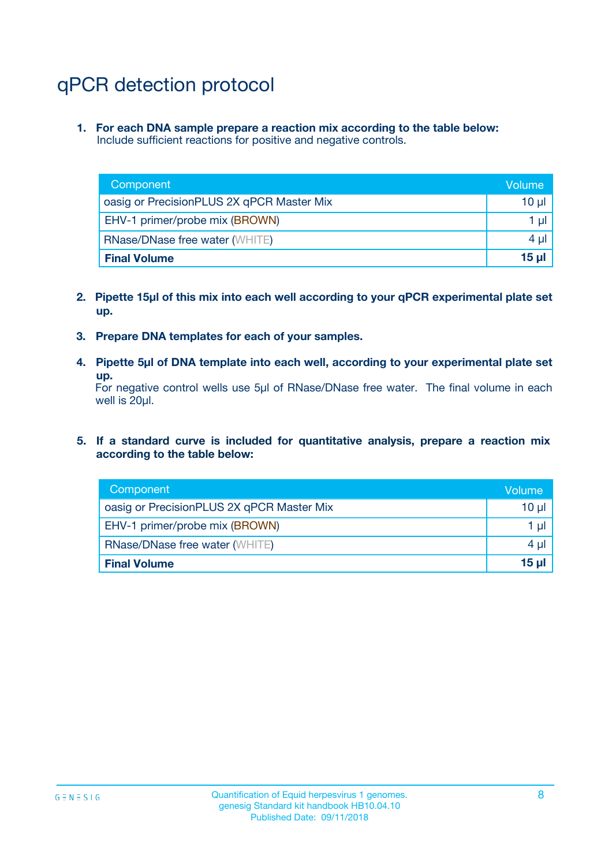# qPCR detection protocol

**1. For each DNA sample prepare a reaction mix according to the table below:** Include sufficient reactions for positive and negative controls.

| Component                                 | Volume          |
|-------------------------------------------|-----------------|
| oasig or PrecisionPLUS 2X qPCR Master Mix | 10 $\mu$        |
| EHV-1 primer/probe mix (BROWN)            | 1 $\mu$         |
| <b>RNase/DNase free water (WHITE)</b>     | $4 \mu$         |
| <b>Final Volume</b>                       | 15 <sub>µ</sub> |

- **2. Pipette 15µl of this mix into each well according to your qPCR experimental plate set up.**
- **3. Prepare DNA templates for each of your samples.**
- **4. Pipette 5µl of DNA template into each well, according to your experimental plate set up.**

For negative control wells use 5µl of RNase/DNase free water. The final volume in each well is 20µl.

**5. If a standard curve is included for quantitative analysis, prepare a reaction mix according to the table below:**

| Component                                 | Volume     |
|-------------------------------------------|------------|
| oasig or PrecisionPLUS 2X qPCR Master Mix | 10 µl      |
| EHV-1 primer/probe mix (BROWN)            | 1 µI       |
| <b>RNase/DNase free water (WHITE)</b>     | $4 \mu$    |
| <b>Final Volume</b>                       | $15$ $\mu$ |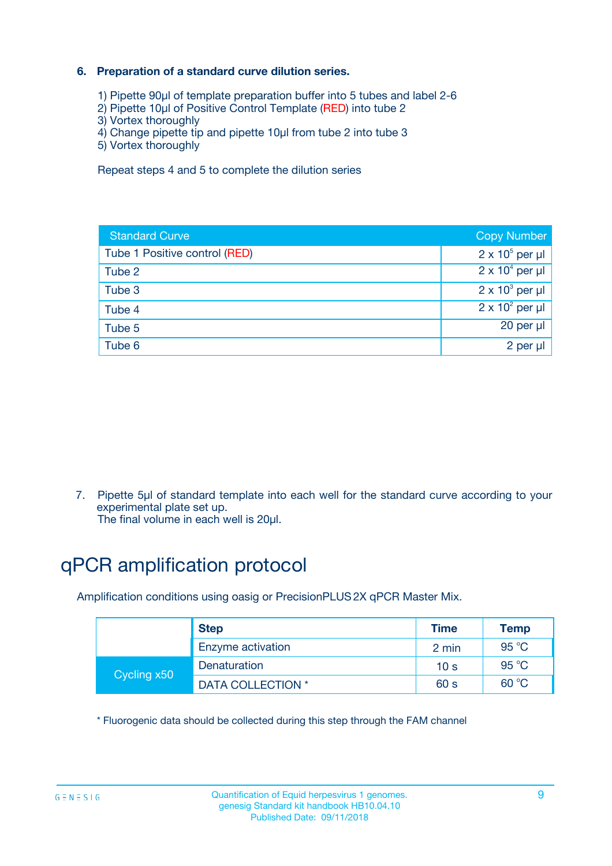### **6. Preparation of a standard curve dilution series.**

- 1) Pipette 90µl of template preparation buffer into 5 tubes and label 2-6
- 2) Pipette 10µl of Positive Control Template (RED) into tube 2
- 3) Vortex thoroughly
- 4) Change pipette tip and pipette 10µl from tube 2 into tube 3
- 5) Vortex thoroughly

Repeat steps 4 and 5 to complete the dilution series

| <b>Standard Curve</b>         | <b>Copy Number</b>     |
|-------------------------------|------------------------|
| Tube 1 Positive control (RED) | $2 \times 10^5$ per µl |
| Tube 2                        | $2 \times 10^4$ per µl |
| Tube 3                        | $2 \times 10^3$ per µl |
| Tube 4                        | $2 \times 10^2$ per µl |
| Tube 5                        | 20 per µl              |
| Tube 6                        | 2 per ul               |

7. Pipette 5µl of standard template into each well for the standard curve according to your experimental plate set up.

The final volume in each well is 20µl.

# qPCR amplification protocol

Amplification conditions using oasig or PrecisionPLUS2X qPCR Master Mix.

|             | <b>Step</b>       | <b>Time</b>     | Temp    |
|-------------|-------------------|-----------------|---------|
|             | Enzyme activation | 2 min           | 95 °C   |
| Cycling x50 | Denaturation      | 10 <sub>s</sub> | 95 $°C$ |
|             | DATA COLLECTION * | 60 s            | 60 °C   |

\* Fluorogenic data should be collected during this step through the FAM channel